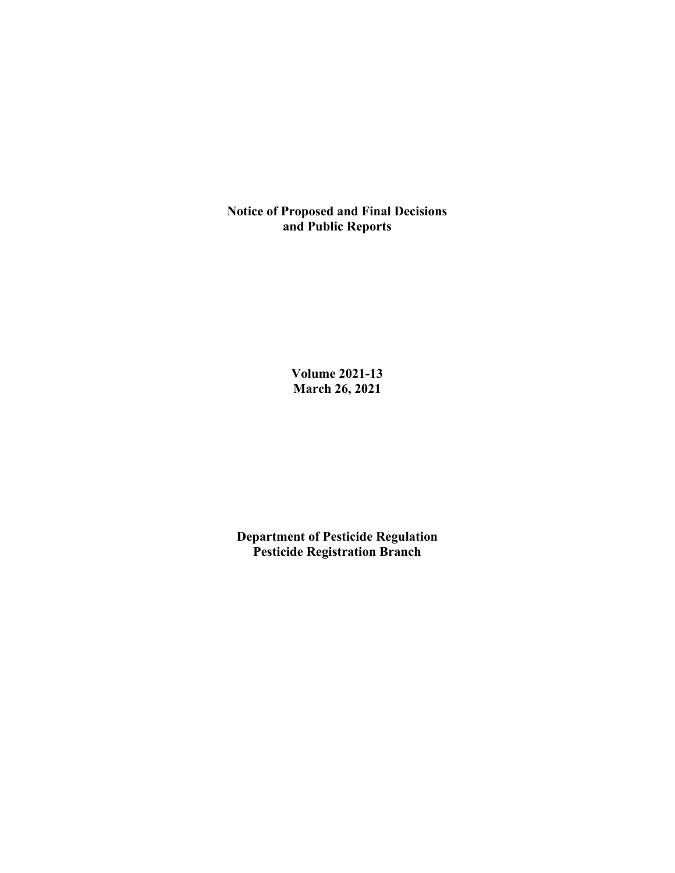**Notice of Proposed and Final Decisions and Public Reports**

> **Volume 2021-13 March 26, 2021**

**Department of Pesticide Regulation Pesticide Registration Branch**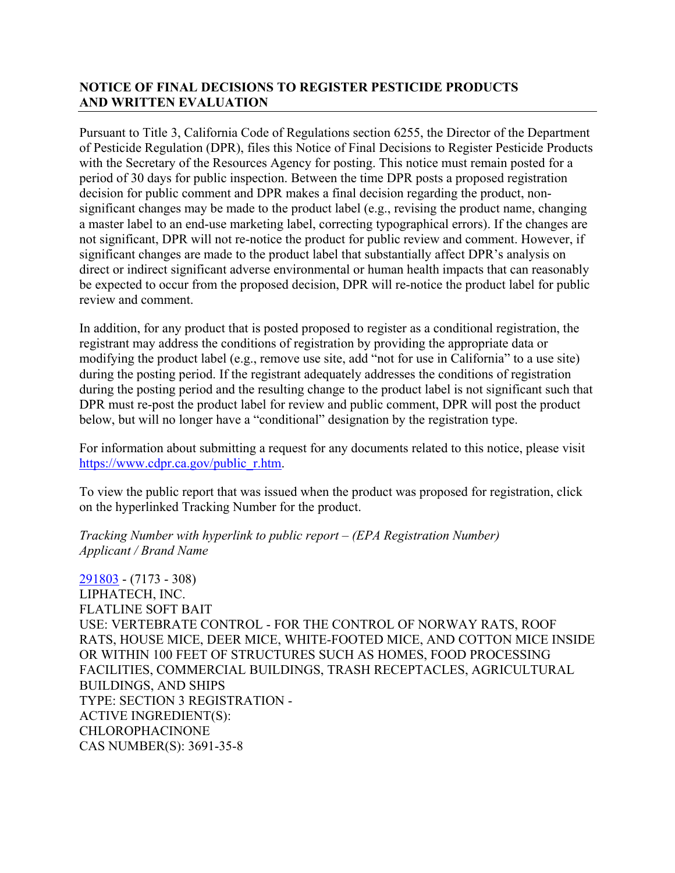## **NOTICE OF FINAL DECISIONS TO REGISTER PESTICIDE PRODUCTS AND WRITTEN EVALUATION**

Pursuant to Title 3, California Code of Regulations section 6255, the Director of the Department of Pesticide Regulation (DPR), files this Notice of Final Decisions to Register Pesticide Products with the Secretary of the Resources Agency for posting. This notice must remain posted for a period of 30 days for public inspection. Between the time DPR posts a proposed registration decision for public comment and DPR makes a final decision regarding the product, nonsignificant changes may be made to the product label (e.g., revising the product name, changing a master label to an end-use marketing label, correcting typographical errors). If the changes are not significant, DPR will not re-notice the product for public review and comment. However, if significant changes are made to the product label that substantially affect DPR's analysis on direct or indirect significant adverse environmental or human health impacts that can reasonably be expected to occur from the proposed decision, DPR will re-notice the product label for public review and comment.

In addition, for any product that is posted proposed to register as a conditional registration, the registrant may address the conditions of registration by providing the appropriate data or modifying the product label (e.g., remove use site, add "not for use in California" to a use site) during the posting period. If the registrant adequately addresses the conditions of registration during the posting period and the resulting change to the product label is not significant such that DPR must re-post the product label for review and public comment, DPR will post the product below, but will no longer have a "conditional" designation by the registration type.

For information about submitting a request for any documents related to this notice, please visit [https://www.cdpr.ca.gov/public\\_r.htm.](https://www.cdpr.ca.gov/public_r.htm)

To view the public report that was issued when the product was proposed for registration, click on the hyperlinked Tracking Number for the product.

#### *Tracking Number with hyperlink to public report – (EPA Registration Number) Applicant / Brand Name*

[291803](https://www.cdpr.ca.gov/docs/registration/nod/public_reports/291803.pdf) - (7173 - 308) LIPHATECH, INC. FLATLINE SOFT BAIT USE: VERTEBRATE CONTROL - FOR THE CONTROL OF NORWAY RATS, ROOF RATS, HOUSE MICE, DEER MICE, WHITE-FOOTED MICE, AND COTTON MICE INSIDE OR WITHIN 100 FEET OF STRUCTURES SUCH AS HOMES, FOOD PROCESSING FACILITIES, COMMERCIAL BUILDINGS, TRASH RECEPTACLES, AGRICULTURAL BUILDINGS, AND SHIPS TYPE: SECTION 3 REGISTRATION - ACTIVE INGREDIENT(S): CHLOROPHACINONE CAS NUMBER(S): 3691-35-8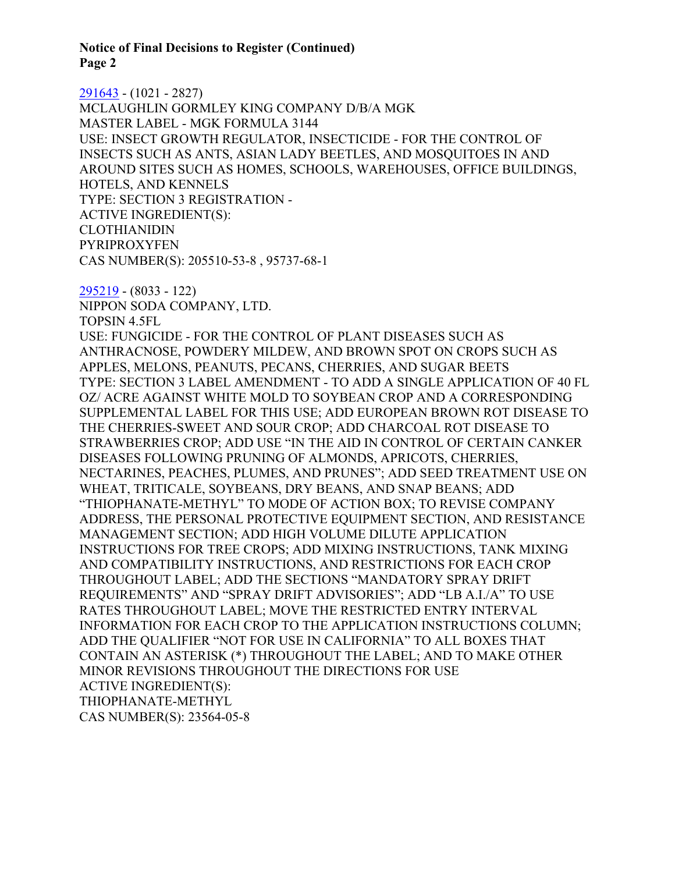**Notice of Final Decisions to Register (Continued) Page 2**

[291643](https://www.cdpr.ca.gov/docs/registration/nod/public_reports/291643.pdf) - (1021 - 2827) MCLAUGHLIN GORMLEY KING COMPANY D/B/A MGK MASTER LABEL - MGK FORMULA 3144 USE: INSECT GROWTH REGULATOR, INSECTICIDE - FOR THE CONTROL OF INSECTS SUCH AS ANTS, ASIAN LADY BEETLES, AND MOSQUITOES IN AND AROUND SITES SUCH AS HOMES, SCHOOLS, WAREHOUSES, OFFICE BUILDINGS, HOTELS, AND KENNELS TYPE: SECTION 3 REGISTRATION - ACTIVE INGREDIENT(S): CLOTHIANIDIN PYRIPROXYFEN CAS NUMBER(S): 205510-53-8 , 95737-68-1

[295219](https://www.cdpr.ca.gov/docs/registration/nod/public_reports/295219.pdf) - (8033 - 122) NIPPON SODA COMPANY, LTD. TOPSIN 4.5FL USE: FUNGICIDE - FOR THE CONTROL OF PLANT DISEASES SUCH AS ANTHRACNOSE, POWDERY MILDEW, AND BROWN SPOT ON CROPS SUCH AS APPLES, MELONS, PEANUTS, PECANS, CHERRIES, AND SUGAR BEETS TYPE: SECTION 3 LABEL AMENDMENT - TO ADD A SINGLE APPLICATION OF 40 FL OZ/ ACRE AGAINST WHITE MOLD TO SOYBEAN CROP AND A CORRESPONDING SUPPLEMENTAL LABEL FOR THIS USE; ADD EUROPEAN BROWN ROT DISEASE TO THE CHERRIES-SWEET AND SOUR CROP; ADD CHARCOAL ROT DISEASE TO STRAWBERRIES CROP; ADD USE "IN THE AID IN CONTROL OF CERTAIN CANKER DISEASES FOLLOWING PRUNING OF ALMONDS, APRICOTS, CHERRIES, NECTARINES, PEACHES, PLUMES, AND PRUNES"; ADD SEED TREATMENT USE ON WHEAT, TRITICALE, SOYBEANS, DRY BEANS, AND SNAP BEANS; ADD "THIOPHANATE-METHYL" TO MODE OF ACTION BOX; TO REVISE COMPANY ADDRESS, THE PERSONAL PROTECTIVE EQUIPMENT SECTION, AND RESISTANCE MANAGEMENT SECTION; ADD HIGH VOLUME DILUTE APPLICATION INSTRUCTIONS FOR TREE CROPS; ADD MIXING INSTRUCTIONS, TANK MIXING AND COMPATIBILITY INSTRUCTIONS, AND RESTRICTIONS FOR EACH CROP THROUGHOUT LABEL; ADD THE SECTIONS "MANDATORY SPRAY DRIFT REQUIREMENTS" AND "SPRAY DRIFT ADVISORIES"; ADD "LB A.I./A" TO USE RATES THROUGHOUT LABEL; MOVE THE RESTRICTED ENTRY INTERVAL INFORMATION FOR EACH CROP TO THE APPLICATION INSTRUCTIONS COLUMN; ADD THE QUALIFIER "NOT FOR USE IN CALIFORNIA" TO ALL BOXES THAT CONTAIN AN ASTERISK (\*) THROUGHOUT THE LABEL; AND TO MAKE OTHER MINOR REVISIONS THROUGHOUT THE DIRECTIONS FOR USE ACTIVE INGREDIENT(S): THIOPHANATE-METHYL CAS NUMBER(S): 23564-05-8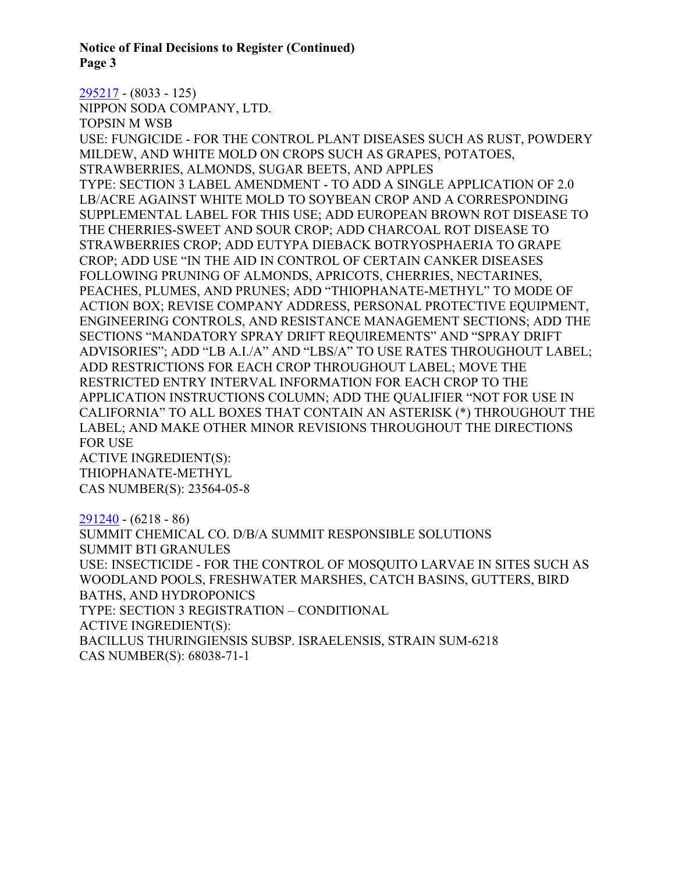**Notice of Final Decisions to Register (Continued) Page 3**

[295217](https://www.cdpr.ca.gov/docs/registration/nod/public_reports/295217.pdf) - (8033 - 125)

NIPPON SODA COMPANY, LTD.

TOPSIN M WSB

USE: FUNGICIDE - FOR THE CONTROL PLANT DISEASES SUCH AS RUST, POWDERY MILDEW, AND WHITE MOLD ON CROPS SUCH AS GRAPES, POTATOES, STRAWBERRIES, ALMONDS, SUGAR BEETS, AND APPLES TYPE: SECTION 3 LABEL AMENDMENT - TO ADD A SINGLE APPLICATION OF 2.0 LB/ACRE AGAINST WHITE MOLD TO SOYBEAN CROP AND A CORRESPONDING SUPPLEMENTAL LABEL FOR THIS USE; ADD EUROPEAN BROWN ROT DISEASE TO THE CHERRIES-SWEET AND SOUR CROP; ADD CHARCOAL ROT DISEASE TO STRAWBERRIES CROP; ADD EUTYPA DIEBACK BOTRYOSPHAERIA TO GRAPE CROP; ADD USE "IN THE AID IN CONTROL OF CERTAIN CANKER DISEASES FOLLOWING PRUNING OF ALMONDS, APRICOTS, CHERRIES, NECTARINES, PEACHES, PLUMES, AND PRUNES; ADD "THIOPHANATE-METHYL" TO MODE OF ACTION BOX; REVISE COMPANY ADDRESS, PERSONAL PROTECTIVE EQUIPMENT, ENGINEERING CONTROLS, AND RESISTANCE MANAGEMENT SECTIONS; ADD THE SECTIONS "MANDATORY SPRAY DRIFT REQUIREMENTS" AND "SPRAY DRIFT ADVISORIES"; ADD "LB A.I./A" AND "LBS/A" TO USE RATES THROUGHOUT LABEL; ADD RESTRICTIONS FOR EACH CROP THROUGHOUT LABEL; MOVE THE RESTRICTED ENTRY INTERVAL INFORMATION FOR EACH CROP TO THE APPLICATION INSTRUCTIONS COLUMN; ADD THE QUALIFIER "NOT FOR USE IN CALIFORNIA" TO ALL BOXES THAT CONTAIN AN ASTERISK (\*) THROUGHOUT THE LABEL; AND MAKE OTHER MINOR REVISIONS THROUGHOUT THE DIRECTIONS FOR USE ACTIVE INGREDIENT(S):

THIOPHANATE-METHYL CAS NUMBER(S): 23564-05-8

[291240](https://www.cdpr.ca.gov/docs/registration/nod/public_reports/291240.pdf) - (6218 - 86)

SUMMIT CHEMICAL CO. D/B/A SUMMIT RESPONSIBLE SOLUTIONS SUMMIT BTI GRANULES USE: INSECTICIDE - FOR THE CONTROL OF MOSQUITO LARVAE IN SITES SUCH AS WOODLAND POOLS, FRESHWATER MARSHES, CATCH BASINS, GUTTERS, BIRD BATHS, AND HYDROPONICS TYPE: SECTION 3 REGISTRATION – CONDITIONAL ACTIVE INGREDIENT(S): BACILLUS THURINGIENSIS SUBSP. ISRAELENSIS, STRAIN SUM-6218 CAS NUMBER(S): 68038-71-1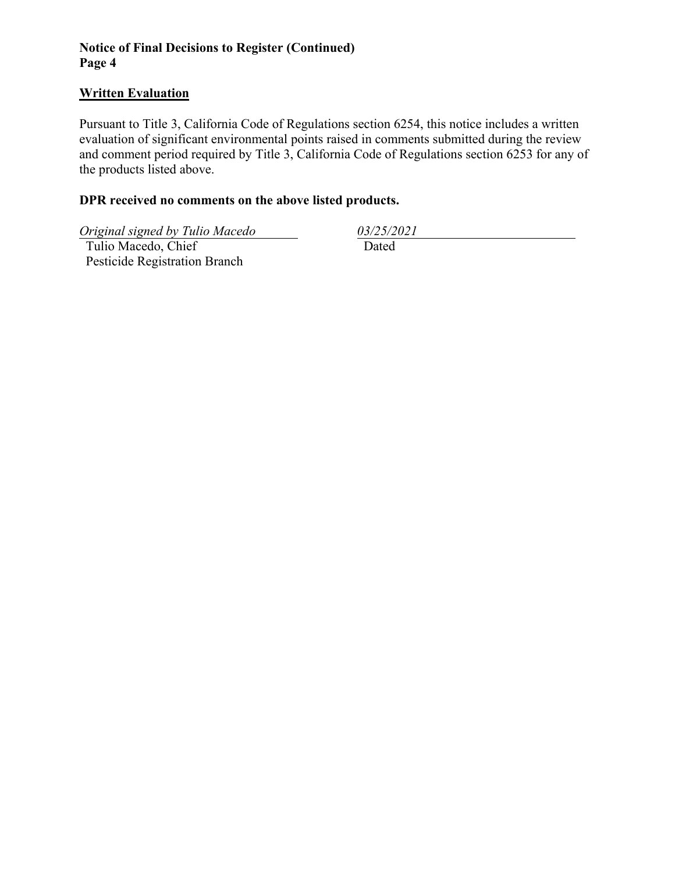## **Notice of Final Decisions to Register (Continued) Page 4**

### **Written Evaluation**

Pursuant to Title 3, California Code of Regulations section 6254, this notice includes a written evaluation of significant environmental points raised in comments submitted during the review and comment period required by Title 3, California Code of Regulations section 6253 for any of the products listed above.

### **DPR received no comments on the above listed products.**

*Original signed by Tulio Macedo 03/25/2021*

 Tulio Macedo, Chief Pesticide Registration Branch

Dated